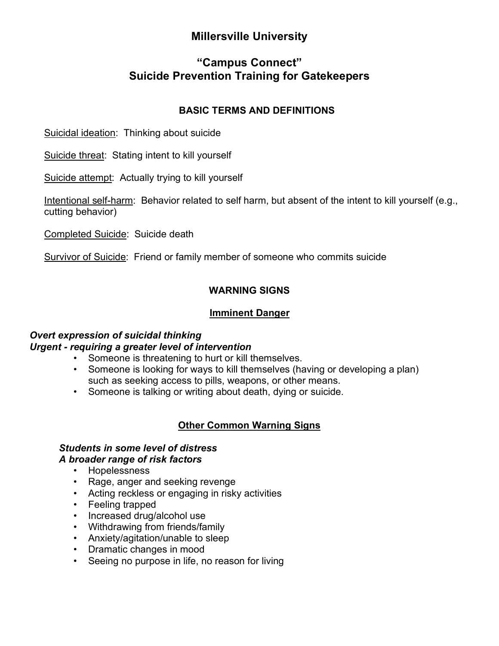# **Millersville University**

# **"Campus Connect" Suicide Prevention Training for Gatekeepers**

### **BASIC TERMS AND DEFINITIONS**

Suicidal ideation: Thinking about suicide

Suicide threat: Stating intent to kill yourself

Suicide attempt: Actually trying to kill yourself

Intentional self-harm: Behavior related to self harm, but absent of the intent to kill yourself (e.g., cutting behavior)

Completed Suicide: Suicide death

Survivor of Suicide: Friend or family member of someone who commits suicide

## **WARNING SIGNS**

### **Imminent Danger**

#### *Overt expression of suicidal thinking Urgent - requiring a greater level of intervention*

- Someone is threatening to hurt or kill themselves.
- Someone is looking for ways to kill themselves (having or developing a plan) such as seeking access to pills, weapons, or other means.
- Someone is talking or writing about death, dying or suicide.

## **Other Common Warning Signs**

# *Students in some level of distress*

### *A broader range of risk factors*

- Hopelessness
- Rage, anger and seeking revenge
- Acting reckless or engaging in risky activities
- Feeling trapped
- Increased drug/alcohol use
- Withdrawing from friends/family
- Anxiety/agitation/unable to sleep
- Dramatic changes in mood
- Seeing no purpose in life, no reason for living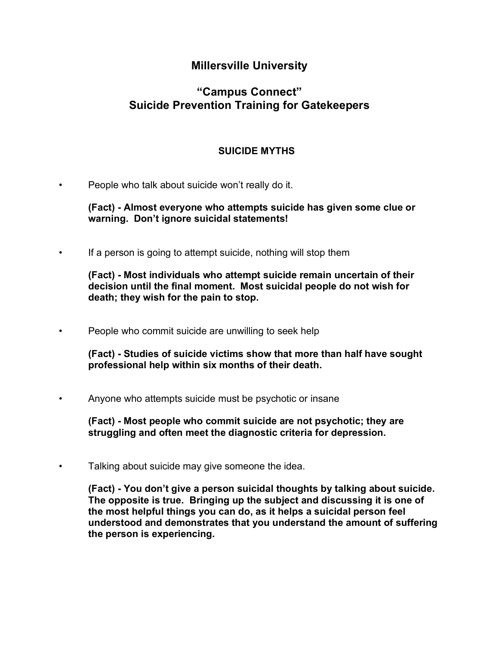## **Millersville University**

# **"Campus Connect" Suicide Prevention Training for Gatekeepers**

### **SUICIDE MYTHS**

People who talk about suicide won't really do it.

**(Fact) - Almost everyone who attempts suicide has given some clue or warning. Don't ignore suicidal statements!**

If a person is going to attempt suicide, nothing will stop them

**(Fact) - Most individuals who attempt suicide remain uncertain of their decision until the final moment. Most suicidal people do not wish for death; they wish for the pain to stop.**

• People who commit suicide are unwilling to seek help

**(Fact) - Studies of suicide victims show that more than half have sought professional help within six months of their death.**

• Anyone who attempts suicide must be psychotic or insane

**(Fact) - Most people who commit suicide are not psychotic; they are struggling and often meet the diagnostic criteria for depression.**

Talking about suicide may give someone the idea.

**(Fact) - You don't give a person suicidal thoughts by talking about suicide. The opposite is true. Bringing up the subject and discussing it is one of the most helpful things you can do, as it helps a suicidal person feel understood and demonstrates that you understand the amount of suffering the person is experiencing.**